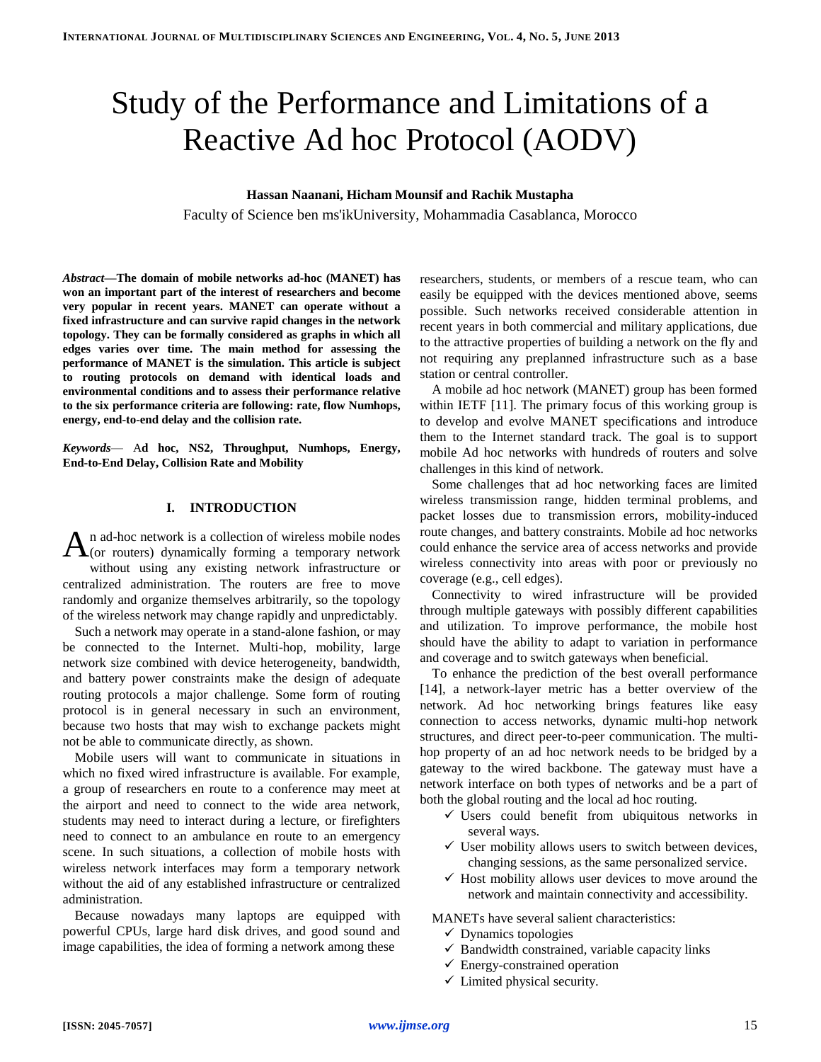# Study of the Performance and Limitations of a Reactive Ad hoc Protocol (AODV)

## **Hassan Naanani, Hicham Mounsif and Rachik Mustapha**

Faculty of Science ben ms'ikUniversity, Mohammadia Casablanca, Morocco

*Abstract—***The domain of mobile networks ad-hoc (MANET) has won an important part of the interest of researchers and become very popular in recent years. MANET can operate without a fixed infrastructure and can survive rapid changes in the network topology. They can be formally considered as graphs in which all edges varies over time. The main method for assessing the performance of MANET is the simulation. This article is subject to routing protocols on demand with identical loads and environmental conditions and to assess their performance relative to the six performance criteria are following: rate, flow Numhops, energy, end-to-end delay and the collision rate.**

*Keywords*— A**d hoc, NS2, Throughput, Numhops, Energy, End-to-End Delay, Collision Rate and Mobility**

## **I. INTRODUCTION**

n ad-hoc network is a collection of wireless mobile nodes  $A$ <sup>n</sup> ad-hoc network is a collection of wireless mobile nodes (or routers) dynamically forming a temporary network without using any existing network infrastructure or centralized administration. The routers are free to move randomly and organize themselves arbitrarily, so the topology of the wireless network may change rapidly and unpredictably.

Such a network may operate in a stand-alone fashion, or may be connected to the Internet. Multi-hop, mobility, large network size combined with device heterogeneity, bandwidth, and battery power constraints make the design of adequate routing protocols a major challenge. Some form of routing protocol is in general necessary in such an environment, because two hosts that may wish to exchange packets might not be able to communicate directly, as shown.

Mobile users will want to communicate in situations in which no fixed wired infrastructure is available. For example, a group of researchers en route to a conference may meet at the airport and need to connect to the wide area network, students may need to interact during a lecture, or firefighters need to connect to an ambulance en route to an emergency scene. In such situations, a collection of mobile hosts with wireless network interfaces may form a temporary network without the aid of any established infrastructure or centralized administration.

Because nowadays many laptops are equipped with powerful CPUs, large hard disk drives, and good sound and image capabilities, the idea of forming a network among these

researchers, students, or members of a rescue team, who can easily be equipped with the devices mentioned above, seems possible. Such networks received considerable attention in recent years in both commercial and military applications, due to the attractive properties of building a network on the fly and not requiring any preplanned infrastructure such as a base station or central controller.

A mobile ad hoc network (MANET) group has been formed within IETF [11]. The primary focus of this working group is to develop and evolve MANET specifications and introduce them to the Internet standard track. The goal is to support mobile Ad hoc networks with hundreds of routers and solve challenges in this kind of network.

Some challenges that ad hoc networking faces are limited wireless transmission range, hidden terminal problems, and packet losses due to transmission errors, mobility-induced route changes, and battery constraints. Mobile ad hoc networks could enhance the service area of access networks and provide wireless connectivity into areas with poor or previously no coverage (e.g., cell edges).

Connectivity to wired infrastructure will be provided through multiple gateways with possibly different capabilities and utilization. To improve performance, the mobile host should have the ability to adapt to variation in performance and coverage and to switch gateways when beneficial.

To enhance the prediction of the best overall performance [14], a network-layer metric has a better overview of the network. Ad hoc networking brings features like easy connection to access networks, dynamic multi-hop network structures, and direct peer-to-peer communication. The multihop property of an ad hoc network needs to be bridged by a gateway to the wired backbone. The gateway must have a network interface on both types of networks and be a part of both the global routing and the local ad hoc routing.

- $\checkmark$  Users could benefit from ubiquitous networks in several ways.
- $\checkmark$  User mobility allows users to switch between devices, changing sessions, as the same personalized service.
- $\checkmark$  Host mobility allows user devices to move around the network and maintain connectivity and accessibility.

MANETs have several salient characteristics:

- $\checkmark$  Dynamics topologies
- $\checkmark$  Bandwidth constrained, variable capacity links
- $\checkmark$  Energy-constrained operation
- $\checkmark$  Limited physical security.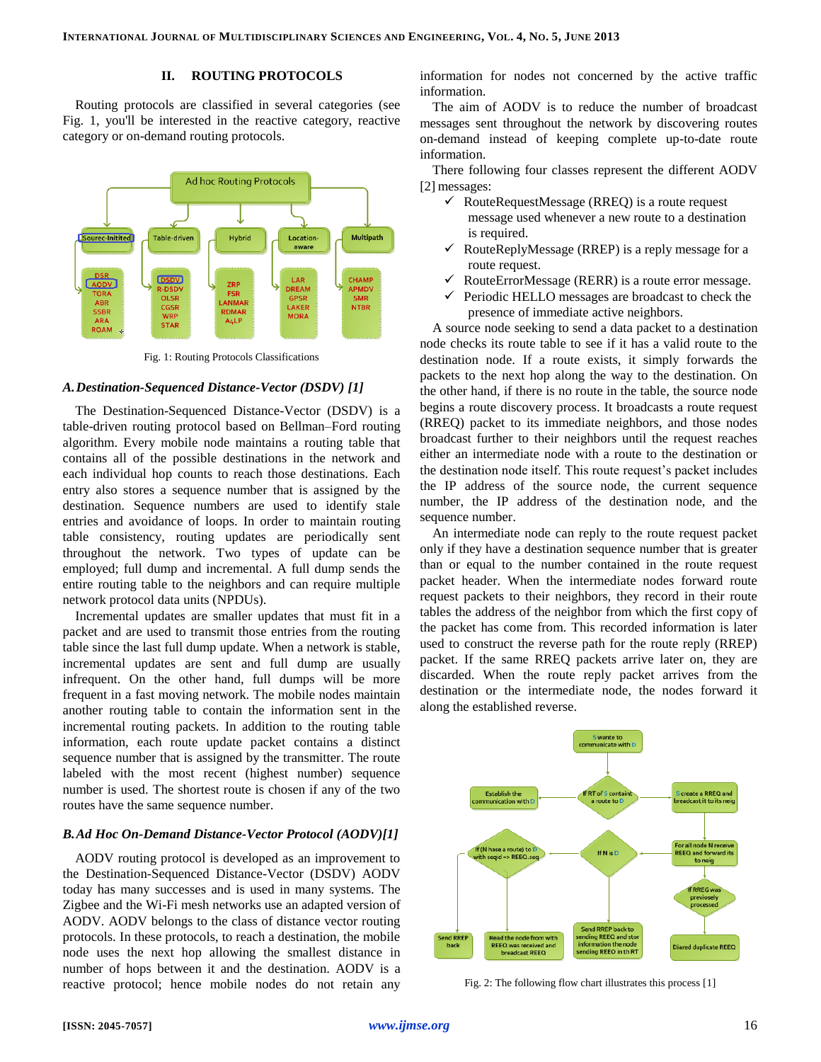# **II. ROUTING PROTOCOLS**

Routing protocols are classified in several categories (see Fig. 1, you'll be interested in the reactive category, reactive category or on-demand routing protocols.



Fig. 1: Routing Protocols Classifications

## *A.Destination-Sequenced Distance-Vector (DSDV) [1]*

The Destination-Sequenced Distance-Vector (DSDV) is a table-driven routing protocol based on Bellman–Ford routing algorithm. Every mobile node maintains a routing table that contains all of the possible destinations in the network and each individual hop counts to reach those destinations. Each entry also stores a sequence number that is assigned by the destination. Sequence numbers are used to identify stale entries and avoidance of loops. In order to maintain routing table consistency, routing updates are periodically sent throughout the network. Two types of update can be employed; full dump and incremental. A full dump sends the entire routing table to the neighbors and can require multiple network protocol data units (NPDUs).

Incremental updates are smaller updates that must fit in a packet and are used to transmit those entries from the routing table since the last full dump update. When a network is stable, incremental updates are sent and full dump are usually infrequent. On the other hand, full dumps will be more frequent in a fast moving network. The mobile nodes maintain another routing table to contain the information sent in the incremental routing packets. In addition to the routing table information, each route update packet contains a distinct sequence number that is assigned by the transmitter. The route labeled with the most recent (highest number) sequence number is used. The shortest route is chosen if any of the two routes have the same sequence number.

## *B.Ad Hoc On-Demand Distance-Vector Protocol (AODV)[1]*

AODV routing protocol is developed as an improvement to the Destination-Sequenced Distance-Vector (DSDV) AODV today has many successes and is used in many systems. The Zigbee and the Wi-Fi mesh networks use an adapted version of AODV. AODV belongs to the class of distance vector routing protocols. In these protocols, to reach a destination, the mobile node uses the next hop allowing the smallest distance in number of hops between it and the destination. AODV is a reactive protocol; hence mobile nodes do not retain any

information for nodes not concerned by the active traffic information.

The aim of AODV is to reduce the number of broadcast messages sent throughout the network by discovering routes on-demand instead of keeping complete up-to-date route information.

There following four classes represent the different AODV [2] messages:

- $\checkmark$  RouteRequestMessage (RREQ) is a route request message used whenever a new route to a destination is required.
- $\checkmark$  RouteReplyMessage (RREP) is a reply message for a route request.
- $\checkmark$  RouteErrorMessage (RERR) is a route error message.
- $\checkmark$  Periodic HELLO messages are broadcast to check the presence of immediate active neighbors.

A source node seeking to send a data packet to a destination node checks its route table to see if it has a valid route to the destination node. If a route exists, it simply forwards the packets to the next hop along the way to the destination. On the other hand, if there is no route in the table, the source node begins a route discovery process. It broadcasts a route request (RREQ) packet to its immediate neighbors, and those nodes broadcast further to their neighbors until the request reaches either an intermediate node with a route to the destination or the destination node itself. This route request's packet includes the IP address of the source node, the current sequence number, the IP address of the destination node, and the sequence number.

An intermediate node can reply to the route request packet only if they have a destination sequence number that is greater than or equal to the number contained in the route request packet header. When the intermediate nodes forward route request packets to their neighbors, they record in their route tables the address of the neighbor from which the first copy of the packet has come from. This recorded information is later used to construct the reverse path for the route reply (RREP) packet. If the same RREQ packets arrive later on, they are discarded. When the route reply packet arrives from the destination or the intermediate node, the nodes forward it along the established reverse.



Fig. 2: The following flow chart illustrates this process [1]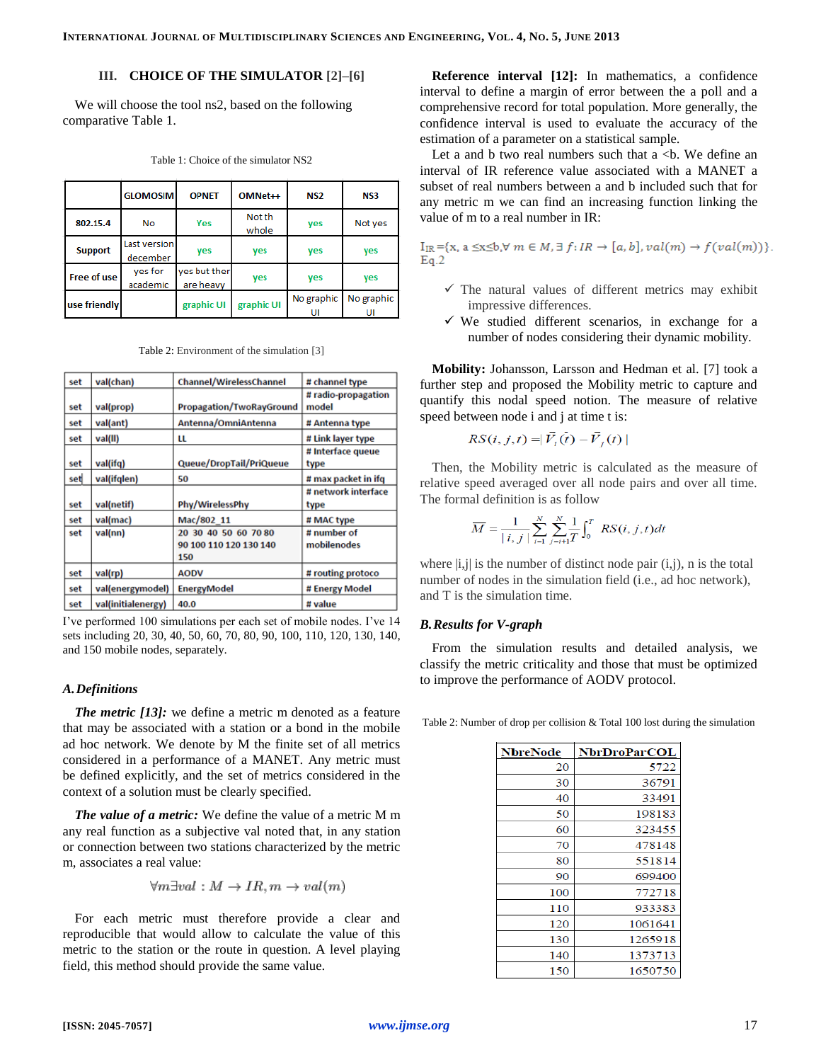# **III. CHOICE OF THE SIMULATOR [2]–[6]**

We will choose the tool ns2, based on the following comparative Table 1.

|                    | <b>GLOMOSIM</b>          | <b>OPNET</b>              | OMNet++         | NS <sub>2</sub>  | NS3              |
|--------------------|--------------------------|---------------------------|-----------------|------------------|------------------|
| 802.15.4           | <b>No</b>                | <b>Yes</b>                | Not th<br>whole | yes              | Not yes          |
| <b>Support</b>     | Last version<br>december | yes                       | yes             | yes              | yes              |
| <b>Free of use</b> | yes for<br>academic      | ves but ther<br>are heavy | yes             | yes              | yes              |
| use friendly       |                          | graphic UI                | graphic UI      | No graphic<br>UI | No graphic<br>UI |

| Table 1: Choice of the simulator NS2 |
|--------------------------------------|
|--------------------------------------|

Table 2: Environment of the simulation [3]

| set | val(chan)          | <b>Channel/WirelessChannel</b>                        | # channel type               |
|-----|--------------------|-------------------------------------------------------|------------------------------|
| set | val(prop)          | <b>Propagation/TwoRayGround</b>                       | # radio-propagation<br>model |
| set | val(ant)           | Antenna/OmniAntenna                                   | # Antenna type               |
| set | val(II)            | LL                                                    | # Link layer type            |
| set | val(ifq)           | Queue/DropTail/PriQueue                               | # Interface queue<br>type    |
| set | val(ifglen)        | 50                                                    | # max packet in ifg          |
| set | val(netif)         | Phy/WirelessPhy                                       | # network interface<br>type  |
| set | val(mac)           | Mac/802 11                                            | # MAC type                   |
| set | val(nn)            | 20 30 40 50 60 70 80<br>90 100 110 120 130 140<br>150 | # number of<br>mobilenodes   |
| set | val(rp)            | <b>AODV</b>                                           | # routing protoco            |
| set | val(energymodel)   | <b>EnergyModel</b>                                    | # Energy Model               |
| set | val(initialenergy) | 40.0                                                  | # value                      |

I've performed 100 simulations per each set of mobile nodes. I've 14 sets including 20, 30, 40, 50, 60, 70, 80, 90, 100, 110, 120, 130, 140, and 150 mobile nodes, separately.

## *A.Definitions*

*The metric [13]:* we define a metric m denoted as a feature that may be associated with a station or a bond in the mobile ad hoc network. We denote by M the finite set of all metrics considered in a performance of a MANET. Any metric must be defined explicitly, and the set of metrics considered in the context of a solution must be clearly specified.

*The value of a metric:* We define the value of a metric M m any real function as a subjective val noted that, in any station or connection between two stations characterized by the metric m, associates a real value:

$$
\forall m \exists val : M \to IR, m \to val(m)
$$

For each metric must therefore provide a clear and reproducible that would allow to calculate the value of this metric to the station or the route in question. A level playing field, this method should provide the same value.

**Reference interval [12]:** In mathematics, a confidence interval to define a margin of error between the a poll and a comprehensive record for total population. More generally, the confidence interval is used to evaluate the accuracy of the estimation of a parameter on a statistical sample.

Let a and b two real numbers such that  $a < b$ . We define an interval of IR reference value associated with a MANET a subset of real numbers between a and b included such that for any metric m we can find an increasing function linking the value of m to a real number in IR:

$$
I_{IR} = \{x, a \le x \le b, \forall m \in M, \exists f: IR \rightarrow [a, b], val(m) \rightarrow f(val(m))\}.
$$
  
Eq.2

- $\checkmark$  The natural values of different metrics may exhibit impressive differences.
- $\checkmark$  We studied different scenarios, in exchange for a number of nodes considering their dynamic mobility.

**Mobility:** Johansson, Larsson and Hedman et al. [7] took a further step and proposed the Mobility metric to capture and quantify this nodal speed notion. The measure of relative speed between node i and j at time t is:

$$
RS(i, j, t) = |\vec{V}_i(\bar{t}) - \vec{V}_j(t)|
$$

Then, the Mobility metric is calculated as the measure of relative speed averaged over all node pairs and over all time. The formal definition is as follow

$$
\overline{M} = \frac{1}{|i,j|} \sum_{i=1}^{N} \sum_{j=i+1}^{N} \frac{1}{T} \int_{0}^{T} RS(i,j,t)dt
$$

where  $|i, j|$  is the number of distinct node pair  $(i,j)$ , n is the total number of nodes in the simulation field (i.e., ad hoc network), and T is the simulation time.

## *B.Results for V-graph*

From the simulation results and detailed analysis, we classify the metric criticality and those that must be optimized to improve the performance of AODV protocol.

Table 2: Number of drop per collision & Total 100 lost during the simulation

| <b>NbreNode</b> | <b>NbrDroParCOL</b> |
|-----------------|---------------------|
| 20              | 5722                |
| 30              | 36791               |
| 40              | 33491               |
| 50              | 198183              |
| 60              | 323455              |
| 70              | 478148              |
| 80              | 551814              |
| 90              | 699400              |
| 100             | 772718              |
| 110             | 933383              |
| 120             | 1061641             |
| 130             | 1265918             |
| 140             | 1373713             |
| 150             | 1650750             |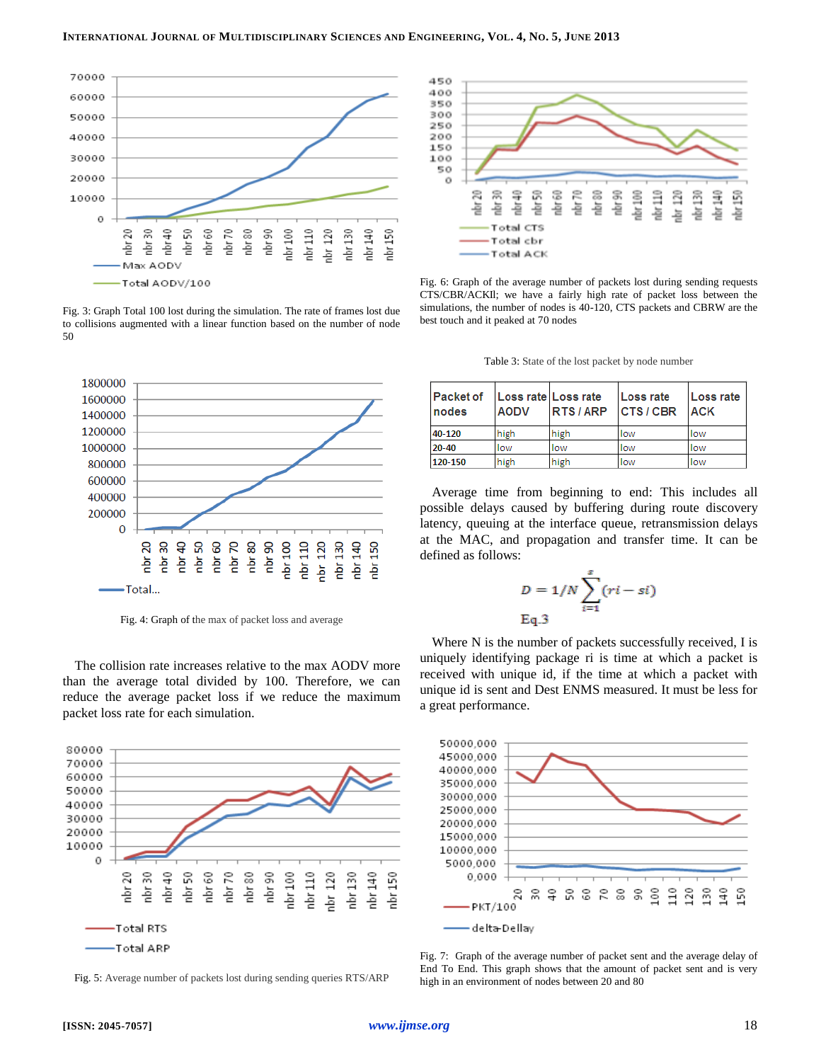

Fig. 3: Graph Total 100 lost during the simulation. The rate of frames lost due to collisions augmented with a linear function based on the number of node 50



Fig. 4: Graph of the max of packet loss and average

The collision rate increases relative to the max AODV more than the average total divided by 100. Therefore, we can reduce the average packet loss if we reduce the maximum packet loss rate for each simulation.



Fig. 5: Average number of packets lost during sending queries RTS/ARP



Fig. 6: Graph of the average number of packets lost during sending requests CTS/CBR/ACKIl; we have a fairly high rate of packet loss between the simulations, the number of nodes is 40-120, CTS packets and CBRW are the best touch and it peaked at 70 nodes

Table 3: State of the lost packet by node number

| <b>Packet of Loss rate Loss rate</b><br>nodes | <b>AODV</b> | <b>RTS/ARP</b> | Loss rate<br><b>CTS/CBR</b> | <b>Loss rate</b><br><b>ACK</b> |
|-----------------------------------------------|-------------|----------------|-----------------------------|--------------------------------|
| 40-120                                        | high        | high           | low                         | low                            |
| 20-40                                         | low         | low            | low                         | low                            |
| 120-150                                       | high        | high           | low                         | low                            |

Average time from beginning to end: This includes all possible delays caused by buffering during route discovery latency, queuing at the interface queue, retransmission delays at the MAC, and propagation and transfer time. It can be defined as follows:

$$
D = 1/N \sum_{i=1}^{s} (ri - si)
$$

Where N is the number of packets successfully received, I is uniquely identifying package ri is time at which a packet is received with unique id, if the time at which a packet with unique id is sent and Dest ENMS measured. It must be less for a great performance.



Fig. 7: Graph of the average number of packet sent and the average delay of End To End. This graph shows that the amount of packet sent and is very high in an environment of nodes between 20 and 80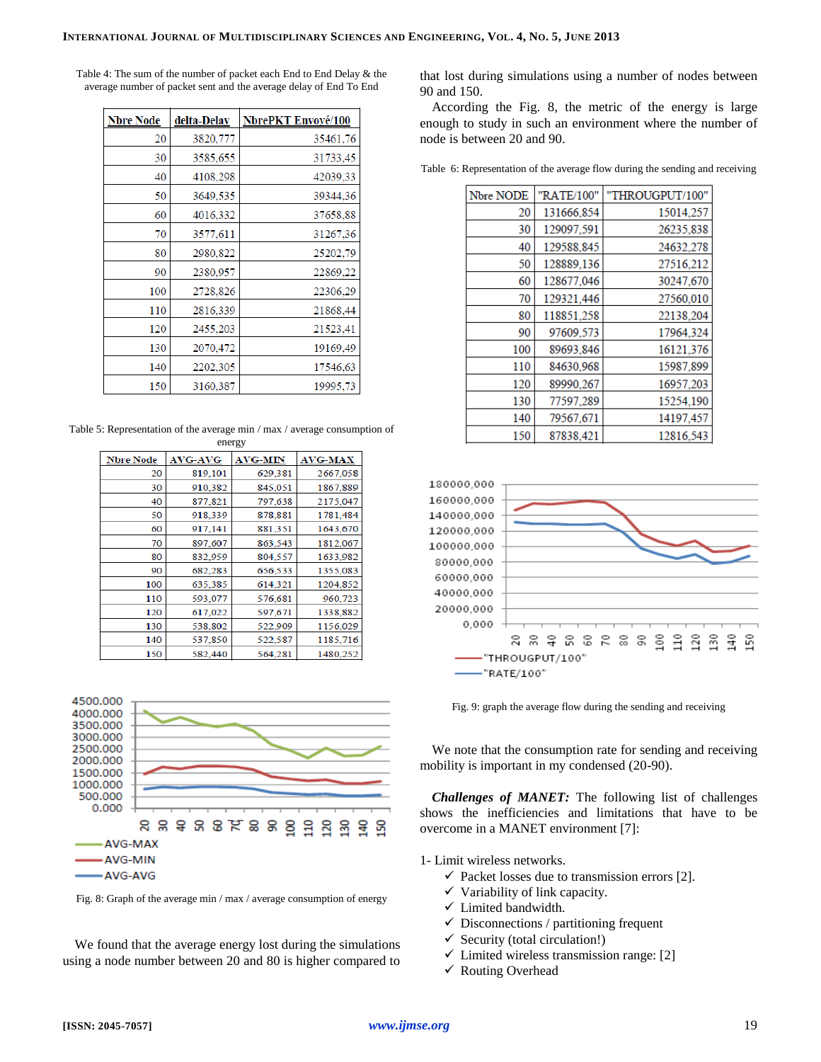Table 4: The sum of the number of packet each End to End Delay & the average number of packet sent and the average delay of End To End

| <b>Nbre Node</b> | delta-Delav | <b>NbrePKT Envové/100</b> |
|------------------|-------------|---------------------------|
| 20               | 3820,777    | 35461,76                  |
| 30               | 3585,655    | 31733,45                  |
| 40               | 4108,298    | 42039,33                  |
| 50               | 3649,535    | 39344.36                  |
| 60               | 4016,332    | 37658,88                  |
| 70               | 3577,611    | 31267,36                  |
| 80               | 2980,822    | 25202.79                  |
| 90               | 2380,957    | 22869,22                  |
| 100              | 2728,826    | 22306.29                  |
| 110              | 2816,339    | 21868,44                  |
| 120              | 2455,203    | 21523,41                  |
| 130              | 2070,472    | 19169,49                  |
| 140              | 2202,305    | 17546.63                  |
| 150              | 3160,387    | 19995.73                  |

Table 5: Representation of the average min / max / average consumption of

| energy           |                |                |                |  |
|------------------|----------------|----------------|----------------|--|
| <b>Nbre Node</b> | <b>AVG-AVG</b> | <b>AVG-MIN</b> | <b>AVG-MAX</b> |  |
| 20               | 819,101        | 629,381        | 2667,058       |  |
| 30               | 910,382        | 845,051        | 1867,889       |  |
| 40               | 877,821        | 797.638        | 2175,047       |  |
| 50               | 918,339        | 878,881        | 1781,484       |  |
| 60               | 917,141        | 881,351        | 1643,670       |  |
| 70               | 897.607        | 863.543        | 1812,067       |  |
| 80               | 832,959        | 804,557        | 1633,982       |  |
| 90               | 682,283        | 656,533        | 1355,083       |  |
| 100              | 635,385        | 614.321        | 1204.852       |  |
| 110              | 593,077        | 576,681        | 960,723        |  |
| 120              | 617,022        | 597,671        | 1338,882       |  |
| 130              | 538,802        | 522,909        | 1156,029       |  |
| 140              | 537,850        | 522,587        | 1185,716       |  |
| 150              | 582,440        | 564,281        | 1480,252       |  |



Fig. 8: Graph of the average min / max / average consumption of energy

We found that the average energy lost during the simulations using a node number between 20 and 80 is higher compared to that lost during simulations using a number of nodes between 90 and 150.

According the Fig. 8, the metric of the energy is large enough to study in such an environment where the number of node is between 20 and 90.

Table 6: Representation of the average flow during the sending and receiving

| Nbre NODE | "RATE/100" | "THROUGPUT/100" |
|-----------|------------|-----------------|
| 20        | 131666,854 | 15014.257       |
| 30        | 129097,591 | 26235,838       |
| 40        | 129588,845 | 24632,278       |
| 50        | 128889,136 | 27516,212       |
| 60        | 128677.046 | 30247.670       |
| 70        | 129321,446 | 27560,010       |
| 80        | 118851,258 | 22138.204       |
| 90        | 97609,573  | 17964,324       |
| 100       | 89693,846  | 16121,376       |
| 110       | 84630.968  | 15987,899       |
| 120       | 89990,267  | 16957.203       |
| 130       | 77597,289  | 15254.190       |
| 140       | 79567,671  | 14197,457       |
| 150       | 87838,421  | 12816,543       |



Fig. 9: graph the average flow during the sending and receiving

We note that the consumption rate for sending and receiving mobility is important in my condensed (20-90).

*Challenges of MANET:* The following list of challenges shows the inefficiencies and limitations that have to be overcome in a MANET environment [7]:

- 1- Limit wireless networks.
	- $\checkmark$  Packet losses due to transmission errors [2].
	- $\checkmark$  Variability of link capacity.
	- $\checkmark$  Limited bandwidth.
	- $\checkmark$  Disconnections / partitioning frequent
	- $\checkmark$  Security (total circulation!)
	- $\checkmark$  Limited wireless transmission range: [2]
	- $\checkmark$  Routing Overhead